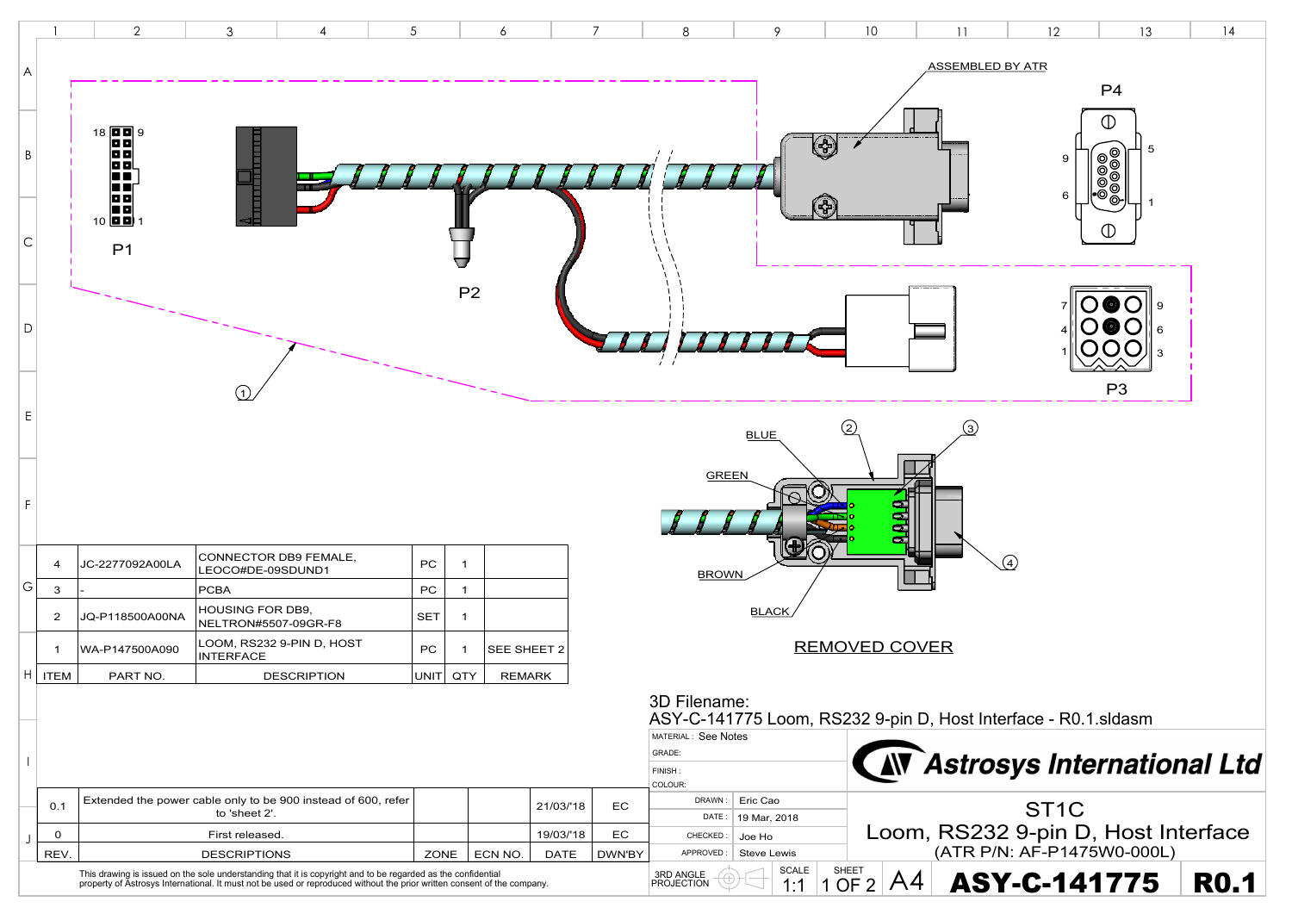